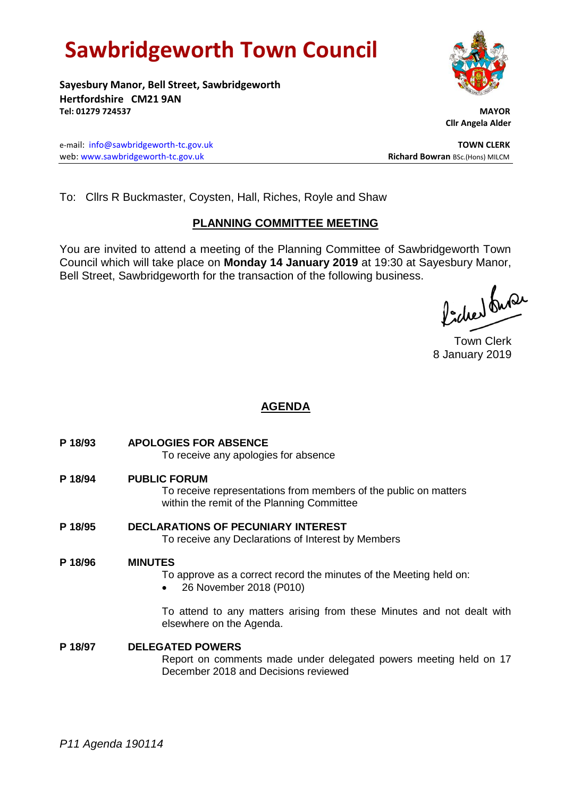# **Sawbridgeworth Town Council**

**Sayesbury Manor, Bell Street, Sawbridgeworth Hertfordshire CM21 9AN Tel: 01279 724537 MAYOR**

e-mail: [info@sawbridgeworth-tc.gov.uk](mailto:info@sawbridgeworth-tc.gov.uk) **TOWN CLERK** web: www.sawbridgeworth-tc.gov.uk **Richard Bowran** BSc.(Hons) MILCM

 **Cllr Angela Alder**

To: Cllrs R Buckmaster, Coysten, Hall, Riches, Royle and Shaw

# **PLANNING COMMITTEE MEETING**

You are invited to attend a meeting of the Planning Committee of Sawbridgeworth Town Council which will take place on **Monday 14 January 2019** at 19:30 at Sayesbury Manor, Bell Street, Sawbridgeworth for the transaction of the following business.

Picked fuse

Town Clerk 8 January 2019

# **AGENDA**

**P 18/93 APOLOGIES FOR ABSENCE** To receive any apologies for absence **P 18/94 PUBLIC FORUM**

> To receive representations from members of the public on matters within the remit of the Planning Committee

**P 18/95 DECLARATIONS OF PECUNIARY INTEREST** To receive any Declarations of Interest by Members

# **P 18/96 MINUTES**

To approve as a correct record the minutes of the Meeting held on:

26 November 2018 (P010)

To attend to any matters arising from these Minutes and not dealt with elsewhere on the Agenda.

**P 18/97 DELEGATED POWERS** Report on comments made under delegated powers meeting held on 17 December 2018 and Decisions reviewed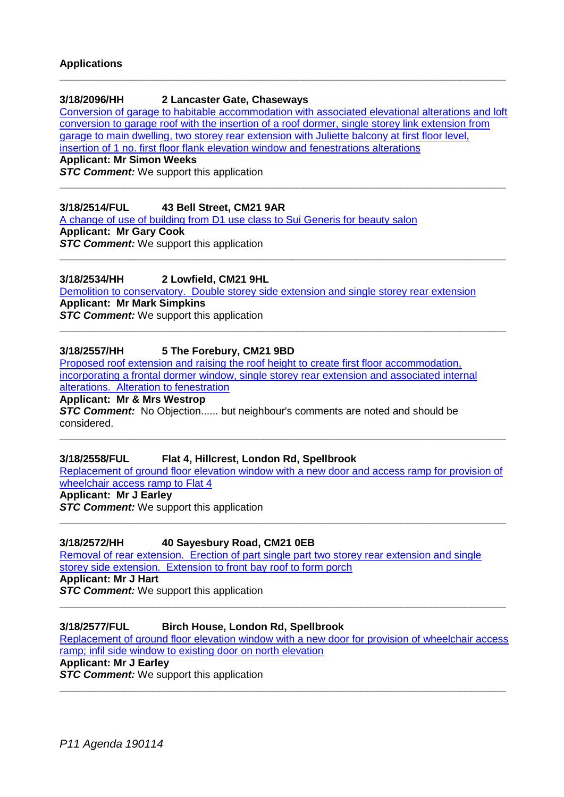#### **3/18/2096/HH 2 Lancaster Gate, Chaseways**

[Conversion of garage to habitable accommodation with associated elevational alterations and loft](https://publicaccess.eastherts.gov.uk/online-applications/applicationDetails.do?activeTab=documents&keyVal=PFEJ7KGL06200)  [conversion to garage roof with the insertion of a roof dormer, single storey link extension from](https://publicaccess.eastherts.gov.uk/online-applications/applicationDetails.do?activeTab=documents&keyVal=PFEJ7KGL06200)  [garage to main dwelling, two storey rear extension with Juliette balcony at first floor level,](https://publicaccess.eastherts.gov.uk/online-applications/applicationDetails.do?activeTab=documents&keyVal=PFEJ7KGL06200) 

**\_\_\_\_\_\_\_\_\_\_\_\_\_\_\_\_\_\_\_\_\_\_\_\_\_\_\_\_\_\_\_\_\_\_\_\_\_\_\_\_\_\_\_\_\_\_\_\_\_\_\_\_\_\_\_\_\_\_\_\_\_\_\_\_\_\_\_\_\_\_\_\_\_\_\_\_\_**

**\_\_\_\_\_\_\_\_\_\_\_\_\_\_\_\_\_\_\_\_\_\_\_\_\_\_\_\_\_\_\_\_\_\_\_\_\_\_\_\_\_\_\_\_\_\_\_\_\_\_\_\_\_\_\_\_\_\_\_\_\_\_\_\_\_\_\_\_\_\_\_\_\_\_\_\_\_**

**\_\_\_\_\_\_\_\_\_\_\_\_\_\_\_\_\_\_\_\_\_\_\_\_\_\_\_\_\_\_\_\_\_\_\_\_\_\_\_\_\_\_\_\_\_\_\_\_\_\_\_\_\_\_\_\_\_\_\_\_\_\_\_\_\_\_\_\_\_\_\_\_\_\_\_\_\_**

**\_\_\_\_\_\_\_\_\_\_\_\_\_\_\_\_\_\_\_\_\_\_\_\_\_\_\_\_\_\_\_\_\_\_\_\_\_\_\_\_\_\_\_\_\_\_\_\_\_\_\_\_\_\_\_\_\_\_\_\_\_\_\_\_\_\_\_\_\_\_\_\_\_\_\_\_\_**

[insertion of 1 no. first floor flank elevation window and fenestrations alterations](https://publicaccess.eastherts.gov.uk/online-applications/applicationDetails.do?activeTab=documents&keyVal=PFEJ7KGL06200)

**Applicant: Mr Simon Weeks**

**STC Comment:** We support this application

#### **3/18/2514/FUL 43 Bell Street, CM21 9AR**

[A change of use of building from D1 use class to Sui Generis for beauty salon](https://publicaccess.eastherts.gov.uk/online-applications/applicationDetails.do?activeTab=documents&keyVal=PI8HFLGLGU200) **Applicant: Mr Gary Cook** *STC Comment:* We support this application

#### **3/18/2534/HH 2 Lowfield, CM21 9HL**

[Demolition to conservatory. Double storey side extension and single storey rear extension](https://publicaccess.eastherts.gov.uk/online-applications/applicationDetails.do?activeTab=documents&keyVal=PIAN8SGLGV900) **Applicant: Mr Mark Simpkins STC Comment:** We support this application

#### **3/18/2557/HH 5 The Forebury, CM21 9BD**

[Proposed roof extension and raising the roof height to create first floor accommodation,](https://publicaccess.eastherts.gov.uk/online-applications/applicationDetails.do?keyVal=PIHQQBGLGWO00&activeTab=summary)  [incorporating a frontal dormer window, single storey rear extension and associated internal](https://publicaccess.eastherts.gov.uk/online-applications/applicationDetails.do?keyVal=PIHQQBGLGWO00&activeTab=summary)  [alterations. Alteration to fenestration](https://publicaccess.eastherts.gov.uk/online-applications/applicationDetails.do?keyVal=PIHQQBGLGWO00&activeTab=summary)

**Applicant: Mr & Mrs Westrop**

**STC Comment:** No Objection...... but neighbour's comments are noted and should be considered.

#### **3/18/2558/FUL Flat 4, Hillcrest, London Rd, Spellbrook**

[Replacement of ground floor elevation window with a new door and access ramp for provision of](https://publicaccess.eastherts.gov.uk/online-applications/applicationDetails.do?activeTab=documents&keyVal=PIHSYLGL00T00)  [wheelchair access ramp to Flat 4](https://publicaccess.eastherts.gov.uk/online-applications/applicationDetails.do?activeTab=documents&keyVal=PIHSYLGL00T00)

**\_\_\_\_\_\_\_\_\_\_\_\_\_\_\_\_\_\_\_\_\_\_\_\_\_\_\_\_\_\_\_\_\_\_\_\_\_\_\_\_\_\_\_\_\_\_\_\_\_\_\_\_\_\_\_\_\_\_\_\_\_\_\_\_\_\_\_\_\_\_\_\_\_\_\_\_\_**

**\_\_\_\_\_\_\_\_\_\_\_\_\_\_\_\_\_\_\_\_\_\_\_\_\_\_\_\_\_\_\_\_\_\_\_\_\_\_\_\_\_\_\_\_\_\_\_\_\_\_\_\_\_\_\_\_\_\_\_\_\_\_\_\_\_\_\_\_\_\_\_\_\_\_\_\_\_**

# **Applicant: Mr J Earley**

**STC Comment:** We support this application

#### **3/18/2572/HH 40 Sayesbury Road, CM21 0EB**

[Removal of rear extension. Erection of part single part two storey rear extension and single](https://publicaccess.eastherts.gov.uk/online-applications/applicationDetails.do?activeTab=documents&keyVal=PIJWK7GLGXN00)  [storey side extension. Extension to front bay roof to form porch](https://publicaccess.eastherts.gov.uk/online-applications/applicationDetails.do?activeTab=documents&keyVal=PIJWK7GLGXN00)

**Applicant: Mr J Hart**

**STC Comment:** We support this application

### **3/18/2577/FUL Birch House, London Rd, Spellbrook**

[Replacement of ground floor elevation window with a new door for provision of wheelchair access](https://publicaccess.eastherts.gov.uk/online-applications/applicationDetails.do?activeTab=documents&keyVal=PILHRJGL00T00)  [ramp; infil side window to existing door on north elevation](https://publicaccess.eastherts.gov.uk/online-applications/applicationDetails.do?activeTab=documents&keyVal=PILHRJGL00T00)

**\_\_\_\_\_\_\_\_\_\_\_\_\_\_\_\_\_\_\_\_\_\_\_\_\_\_\_\_\_\_\_\_\_\_\_\_\_\_\_\_\_\_\_\_\_\_\_\_\_\_\_\_\_\_\_\_\_\_\_\_\_\_\_\_\_\_\_\_\_\_\_\_\_\_\_\_\_**

**\_\_\_\_\_\_\_\_\_\_\_\_\_\_\_\_\_\_\_\_\_\_\_\_\_\_\_\_\_\_\_\_\_\_\_\_\_\_\_\_\_\_\_\_\_\_\_\_\_\_\_\_\_\_\_\_\_\_\_\_\_\_\_\_\_\_\_\_\_\_\_\_\_\_\_\_\_**

# **Applicant: Mr J Earley**

**STC Comment:** We support this application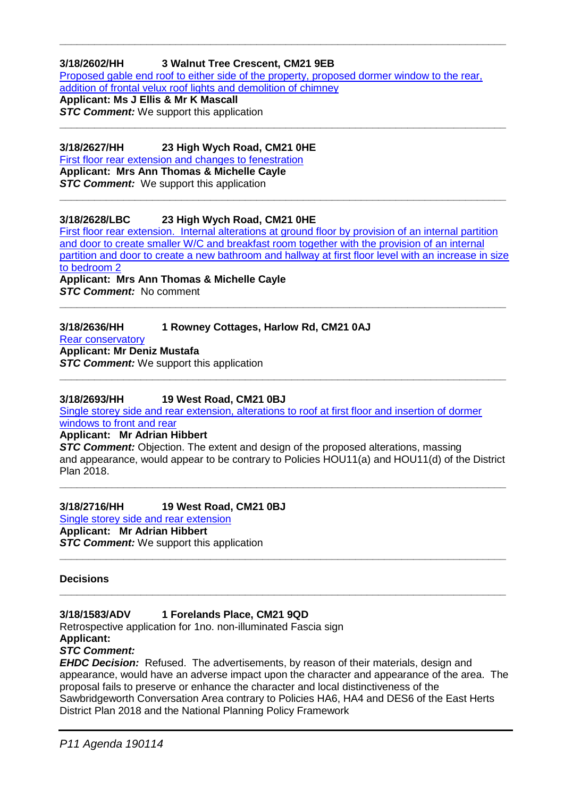# **3/18/2602/HH 3 Walnut Tree Crescent, CM21 9EB**

[Proposed gable end roof to either side of the property, proposed dormer window to the rear,](https://publicaccess.eastherts.gov.uk/online-applications/applicationDetails.do?activeTab=documents&keyVal=PISX8LGL00X00)  [addition of frontal velux roof lights and demolition of chimney](https://publicaccess.eastherts.gov.uk/online-applications/applicationDetails.do?activeTab=documents&keyVal=PISX8LGL00X00)

**\_\_\_\_\_\_\_\_\_\_\_\_\_\_\_\_\_\_\_\_\_\_\_\_\_\_\_\_\_\_\_\_\_\_\_\_\_\_\_\_\_\_\_\_\_\_\_\_\_\_\_\_\_\_\_\_\_\_\_\_\_\_\_\_\_\_\_\_\_\_\_\_\_\_\_\_\_**

**Applicant: Ms J Ellis & Mr K Mascall**

**STC Comment:** We support this application **\_\_\_\_\_\_\_\_\_\_\_\_\_\_\_\_\_\_\_\_\_\_\_\_\_\_\_\_\_\_\_\_\_\_\_\_\_\_\_\_\_\_\_\_\_\_\_\_\_\_\_\_\_\_\_\_\_\_\_\_\_\_\_\_\_\_\_\_\_\_\_\_\_\_\_\_\_**

## **3/18/2627/HH 23 High Wych Road, CM21 0HE**

[First floor rear extension and changes to fenestration](https://publicaccess.eastherts.gov.uk/online-applications/applicationDetails.do?activeTab=documents&keyVal=PIYET6GLH1C00)  **Applicant: Mrs Ann Thomas & Michelle Cayle**

**STC Comment:** We support this application **\_\_\_\_\_\_\_\_\_\_\_\_\_\_\_\_\_\_\_\_\_\_\_\_\_\_\_\_\_\_\_\_\_\_\_\_\_\_\_\_\_\_\_\_\_\_\_\_\_\_\_\_\_\_\_\_\_\_\_\_\_\_\_\_\_\_\_\_\_\_\_\_\_\_\_\_\_**

# **3/18/2628/LBC 23 High Wych Road, CM21 0HE**

[First floor rear extension. Internal alterations at ground floor by provision of an internal partition](https://publicaccess.eastherts.gov.uk/online-applications/applicationDetails.do?keyVal=PIYET8GLH1D00&activeTab=summary)  [and door to create smaller W/C and breakfast room together with the provision of an internal](https://publicaccess.eastherts.gov.uk/online-applications/applicationDetails.do?keyVal=PIYET8GLH1D00&activeTab=summary)  partition and door to create a new bathroom and hallway at first floor level with an increase in size [to bedroom 2](https://publicaccess.eastherts.gov.uk/online-applications/applicationDetails.do?keyVal=PIYET8GLH1D00&activeTab=summary)

**\_\_\_\_\_\_\_\_\_\_\_\_\_\_\_\_\_\_\_\_\_\_\_\_\_\_\_\_\_\_\_\_\_\_\_\_\_\_\_\_\_\_\_\_\_\_\_\_\_\_\_\_\_\_\_\_\_\_\_\_\_\_\_\_\_\_\_\_\_\_\_\_\_\_\_\_\_**

**Applicant: Mrs Ann Thomas & Michelle Cayle** *STC Comment:* No comment

# **3/18/2636/HH 1 Rowney Cottages, Harlow Rd, CM21 0AJ**

[Rear conservatory](https://publicaccess.eastherts.gov.uk/online-applications/applicationDetails.do?activeTab=documents&keyVal=PJ09EHGLH1P00)

**Applicant: Mr Deniz Mustafa**

**STC Comment:** We support this application **\_\_\_\_\_\_\_\_\_\_\_\_\_\_\_\_\_\_\_\_\_\_\_\_\_\_\_\_\_\_\_\_\_\_\_\_\_\_\_\_\_\_\_\_\_\_\_\_\_\_\_\_\_\_\_\_\_\_\_\_\_\_\_\_\_\_\_\_\_\_\_\_\_\_\_\_\_**

**3/18/2693/HH 19 West Road, CM21 0BJ**

[Single storey side and rear extension, alterations to roof at first floor and insertion of dormer](https://publicaccess.eastherts.gov.uk/online-applications/applicationDetails.do?activeTab=documents&keyVal=PJERM3GLH5S00)  [windows to front and rear](https://publicaccess.eastherts.gov.uk/online-applications/applicationDetails.do?activeTab=documents&keyVal=PJERM3GLH5S00)

**Applicant: Mr Adrian Hibbert**

**STC Comment:** Objection. The extent and design of the proposed alterations, massing and appearance, would appear to be contrary to Policies HOU11(a) and HOU11(d) of the District Plan 2018.

**\_\_\_\_\_\_\_\_\_\_\_\_\_\_\_\_\_\_\_\_\_\_\_\_\_\_\_\_\_\_\_\_\_\_\_\_\_\_\_\_\_\_\_\_\_\_\_\_\_\_\_\_\_\_\_\_\_\_\_\_\_\_\_\_\_\_\_\_\_\_\_\_\_\_\_\_\_**

**\_\_\_\_\_\_\_\_\_\_\_\_\_\_\_\_\_\_\_\_\_\_\_\_\_\_\_\_\_\_\_\_\_\_\_\_\_\_\_\_\_\_\_\_\_\_\_\_\_\_\_\_\_\_\_\_\_\_\_\_\_\_\_\_\_\_\_\_\_\_\_\_\_\_\_\_\_**

**\_\_\_\_\_\_\_\_\_\_\_\_\_\_\_\_\_\_\_\_\_\_\_\_\_\_\_\_\_\_\_\_\_\_\_\_\_\_\_\_\_\_\_\_\_\_\_\_\_\_\_\_\_\_\_\_\_\_\_\_\_\_\_\_\_\_\_\_\_\_\_\_\_\_\_\_\_**

# **3/18/2716/HH 19 West Road, CM21 0BJ**

[Single storey side and rear extension](https://publicaccess.eastherts.gov.uk/online-applications/applicationDetails.do?activeTab=documents&keyVal=PJMHESGLH7Y00) **Applicant: Mr Adrian Hibbert STC Comment:** We support this application

#### **Decisions**

# **3/18/1583/ADV 1 Forelands Place, CM21 9QD**

Retrospective application for 1no. non-illuminated Fascia sign **Applicant:** 

# *STC Comment:*

**EHDC Decision:** Refused. The advertisements, by reason of their materials, design and appearance, would have an adverse impact upon the character and appearance of the area. The proposal fails to preserve or enhance the character and local distinctiveness of the Sawbridgeworth Conversation Area contrary to Policies HA6, HA4 and DES6 of the East Herts District Plan 2018 and the National Planning Policy Framework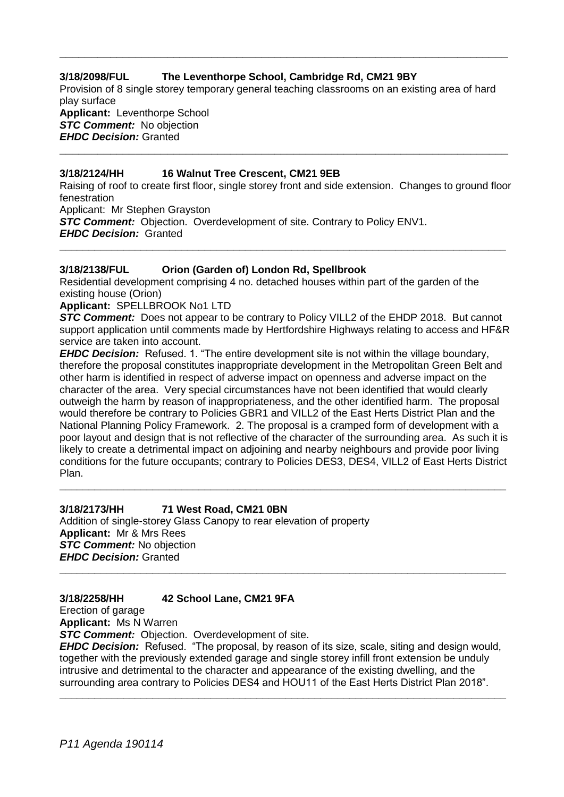### **3/18/2098/FUL The Leventhorpe School, Cambridge Rd, CM21 9BY**

Provision of 8 single storey temporary general teaching classrooms on an existing area of hard play surface **Applicant:** Leventhorpe School *STC Comment:* No objection

**\_\_\_\_\_\_\_\_\_\_\_\_\_\_\_\_\_\_\_\_\_\_\_\_\_\_\_\_\_\_\_\_\_\_\_\_\_\_\_\_\_\_\_\_\_\_\_\_\_\_\_\_\_\_\_\_\_\_\_\_\_\_\_\_\_\_\_\_\_\_\_**

*EHDC Decision:* Granted

#### **3/18/2124/HH 16 Walnut Tree Crescent, CM21 9EB**

Raising of roof to create first floor, single storey front and side extension. Changes to ground floor fenestration

**\_\_\_\_\_\_\_\_\_\_\_\_\_\_\_\_\_\_\_\_\_\_\_\_\_\_\_\_\_\_\_\_\_\_\_\_\_\_\_\_\_\_\_\_\_\_\_\_\_\_\_\_\_\_\_\_\_\_\_\_\_\_\_\_\_\_\_\_\_\_\_**

Applicant: Mr Stephen Grayston

**STC Comment:** Objection. Overdevelopment of site. Contrary to Policy ENV1.

*EHDC Decision:* Granted **\_\_\_\_\_\_\_\_\_\_\_\_\_\_\_\_\_\_\_\_\_\_\_\_\_\_\_\_\_\_\_\_\_\_\_\_\_\_\_\_\_\_\_\_\_\_\_\_\_\_\_\_\_\_\_\_\_\_\_\_\_\_\_\_\_\_\_\_\_\_\_\_\_\_\_\_\_**

#### **3/18/2138/FUL Orion (Garden of) London Rd, Spellbrook**

Residential development comprising 4 no. detached houses within part of the garden of the existing house (Orion)

**Applicant:** SPELLBROOK No1 LTD

**STC Comment:** Does not appear to be contrary to Policy VILL2 of the EHDP 2018. But cannot support application until comments made by Hertfordshire Highways relating to access and HF&R service are taken into account.

*EHDC Decision:* Refused. 1. "The entire development site is not within the village boundary, therefore the proposal constitutes inappropriate development in the Metropolitan Green Belt and other harm is identified in respect of adverse impact on openness and adverse impact on the character of the area. Very special circumstances have not been identified that would clearly outweigh the harm by reason of inappropriateness, and the other identified harm. The proposal would therefore be contrary to Policies GBR1 and VILL2 of the East Herts District Plan and the National Planning Policy Framework. 2. The proposal is a cramped form of development with a poor layout and design that is not reflective of the character of the surrounding area. As such it is likely to create a detrimental impact on adjoining and nearby neighbours and provide poor living conditions for the future occupants; contrary to Policies DES3, DES4, VILL2 of East Herts District Plan.

**\_\_\_\_\_\_\_\_\_\_\_\_\_\_\_\_\_\_\_\_\_\_\_\_\_\_\_\_\_\_\_\_\_\_\_\_\_\_\_\_\_\_\_\_\_\_\_\_\_\_\_\_\_\_\_\_\_\_\_\_\_\_\_\_\_\_\_\_\_\_\_\_\_\_\_\_\_**

# **3/18/2173/HH 71 West Road, CM21 0BN**

Addition of single-storey Glass Canopy to rear elevation of property **Applicant:** Mr & Mrs Rees *STC Comment:* No objection *EHDC Decision:* Granted **\_\_\_\_\_\_\_\_\_\_\_\_\_\_\_\_\_\_\_\_\_\_\_\_\_\_\_\_\_\_\_\_\_\_\_\_\_\_\_\_\_\_\_\_\_\_\_\_\_\_\_\_\_\_\_\_\_\_\_\_\_\_\_\_\_\_\_\_\_\_\_\_\_\_\_\_\_**

# **3/18/2258/HH 42 School Lane, CM21 9FA**

Erection of garage

**Applicant:** Ms N Warren

*STC Comment:* Objection. Overdevelopment of site.

*EHDC Decision:* Refused. "The proposal, by reason of its size, scale, siting and design would, together with the previously extended garage and single storey infill front extension be unduly intrusive and detrimental to the character and appearance of the existing dwelling, and the surrounding area contrary to Policies DES4 and HOU11 of the East Herts District Plan 2018". **\_\_\_\_\_\_\_\_\_\_\_\_\_\_\_\_\_\_\_\_\_\_\_\_\_\_\_\_\_\_\_\_\_\_\_\_\_\_\_\_\_\_\_\_\_\_\_\_\_\_\_\_\_\_\_\_\_\_\_\_\_\_\_\_\_\_\_\_\_\_\_\_\_\_\_\_\_**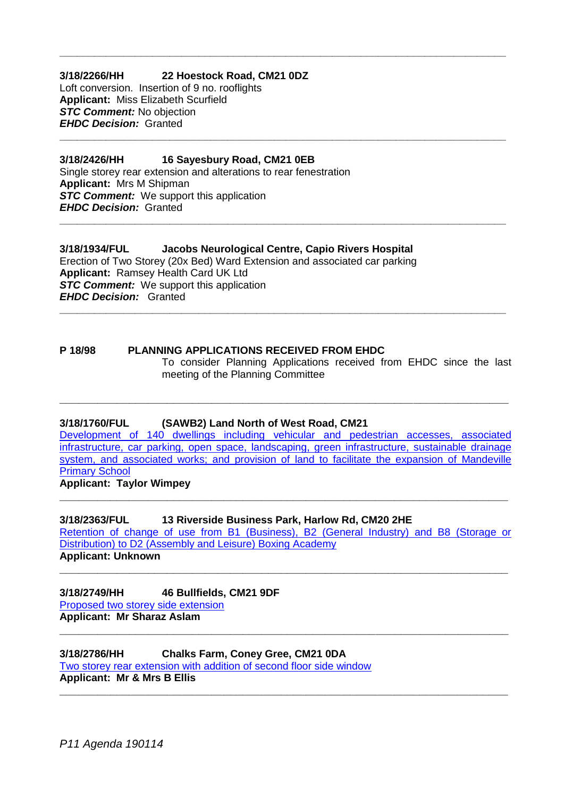# **3/18/2266/HH 22 Hoestock Road, CM21 0DZ**

Loft conversion. Insertion of 9 no. rooflights **Applicant:** Miss Elizabeth Scurfield *STC Comment:* No objection *EHDC Decision:* Granted

#### **3/18/2426/HH 16 Sayesbury Road, CM21 0EB**

Single storey rear extension and alterations to rear fenestration **Applicant:** Mrs M Shipman **STC Comment:** We support this application *EHDC Decision:* Granted

#### **3/18/1934/FUL Jacobs Neurological Centre, Capio Rivers Hospital**

**\_\_\_\_\_\_\_\_\_\_\_\_\_\_\_\_\_\_\_\_\_\_\_\_\_\_\_\_\_\_\_\_\_\_\_\_\_\_\_\_\_\_\_\_\_\_\_\_\_\_\_\_\_\_\_\_\_\_\_\_\_\_\_\_\_\_\_\_\_\_\_\_\_\_\_\_\_**

**\_\_\_\_\_\_\_\_\_\_\_\_\_\_\_\_\_\_\_\_\_\_\_\_\_\_\_\_\_\_\_\_\_\_\_\_\_\_\_\_\_\_\_\_\_\_\_\_\_\_\_\_\_\_\_\_\_\_\_\_\_\_\_\_\_\_\_\_\_\_\_\_\_\_\_\_\_**

**\_\_\_\_\_\_\_\_\_\_\_\_\_\_\_\_\_\_\_\_\_\_\_\_\_\_\_\_\_\_\_\_\_\_\_\_\_\_\_\_\_\_\_\_\_\_\_\_\_\_\_\_\_\_\_\_\_\_\_\_\_\_\_\_\_\_\_\_\_\_\_\_\_\_\_\_\_**

Erection of Two Storey (20x Bed) Ward Extension and associated car parking **Applicant:** Ramsey Health Card UK Ltd **STC Comment:** We support this application *EHDC Decision:* Granted **\_\_\_\_\_\_\_\_\_\_\_\_\_\_\_\_\_\_\_\_\_\_\_\_\_\_\_\_\_\_\_\_\_\_\_\_\_\_\_\_\_\_\_\_\_\_\_\_\_\_\_\_\_\_\_\_\_\_\_\_\_\_\_\_\_\_\_\_\_\_\_\_\_\_\_\_\_**

#### **P 18/98 PLANNING APPLICATIONS RECEIVED FROM EHDC** To consider Planning Applications received from EHDC since the last meeting of the Planning Committee

#### **3/18/1760/FUL (SAWB2) Land North of West Road, CM21**

[Development of 140 dwellings including vehicular and pedestrian accesses, associated](https://publicaccess.eastherts.gov.uk/online-applications/applicationDetails.do?activeTab=documents&keyVal=PCS417GLN4G00)  [infrastructure, car parking, open space, landscaping, green infrastructure, sustainable drainage](https://publicaccess.eastherts.gov.uk/online-applications/applicationDetails.do?activeTab=documents&keyVal=PCS417GLN4G00)  system, and associated works; and provision of land to facilitate the expansion of Mandeville [Primary School](https://publicaccess.eastherts.gov.uk/online-applications/applicationDetails.do?activeTab=documents&keyVal=PCS417GLN4G00)

**\_\_\_\_\_\_\_\_\_\_\_\_\_\_\_\_\_\_\_\_\_\_\_\_\_\_\_\_\_\_\_\_\_\_\_\_\_\_\_\_\_\_\_\_\_\_\_\_\_\_\_\_\_\_\_\_\_\_\_\_\_\_\_\_\_\_\_\_\_\_\_**

**\_\_\_\_\_\_\_\_\_\_\_\_\_\_\_\_\_\_\_\_\_\_\_\_\_\_\_\_\_\_\_\_\_\_\_\_\_\_\_\_\_\_\_\_\_\_\_\_\_\_\_\_\_\_\_\_\_\_\_\_\_\_\_\_\_\_\_\_\_\_\_**

**Applicant: Taylor Wimpey**

#### **3/18/2363/FUL 13 Riverside Business Park, Harlow Rd, CM20 2HE**

[Retention of change of use from B1 \(Business\), B2 \(General Industry\) and B8 \(Storage or](https://publicaccess.eastherts.gov.uk/online-applications/applicationDetails.do?activeTab=documents&keyVal=PH727FGLGJY00)  [Distribution\) to D2 \(Assembly and Leisure\) Boxing Academy](https://publicaccess.eastherts.gov.uk/online-applications/applicationDetails.do?activeTab=documents&keyVal=PH727FGLGJY00) **Applicant: Unknown** 

**\_\_\_\_\_\_\_\_\_\_\_\_\_\_\_\_\_\_\_\_\_\_\_\_\_\_\_\_\_\_\_\_\_\_\_\_\_\_\_\_\_\_\_\_\_\_\_\_\_\_\_\_\_\_\_\_\_\_\_\_\_\_\_\_\_\_\_\_\_\_\_**

**\_\_\_\_\_\_\_\_\_\_\_\_\_\_\_\_\_\_\_\_\_\_\_\_\_\_\_\_\_\_\_\_\_\_\_\_\_\_\_\_\_\_\_\_\_\_\_\_\_\_\_\_\_\_\_\_\_\_\_\_\_\_\_\_\_\_\_\_\_\_\_**

**\_\_\_\_\_\_\_\_\_\_\_\_\_\_\_\_\_\_\_\_\_\_\_\_\_\_\_\_\_\_\_\_\_\_\_\_\_\_\_\_\_\_\_\_\_\_\_\_\_\_\_\_\_\_\_\_\_\_\_\_\_\_\_\_\_\_\_\_\_\_\_**

**3/18/2749/HH 46 Bullfields, CM21 9DF** [Proposed two storey side extension](https://publicaccess.eastherts.gov.uk/online-applications/applicationDetails.do?activeTab=documents&keyVal=PJW1VUGLHAI00) **Applicant: Mr Sharaz Aslam**

**3/18/2786/HH Chalks Farm, Coney Gree, CM21 0DA** [Two storey rear extension with addition of second floor side window](https://publicaccess.eastherts.gov.uk/online-applications/applicationDetails.do?activeTab=documents&keyVal=PK3GLBGLHCO00) **Applicant: Mr & Mrs B Ellis**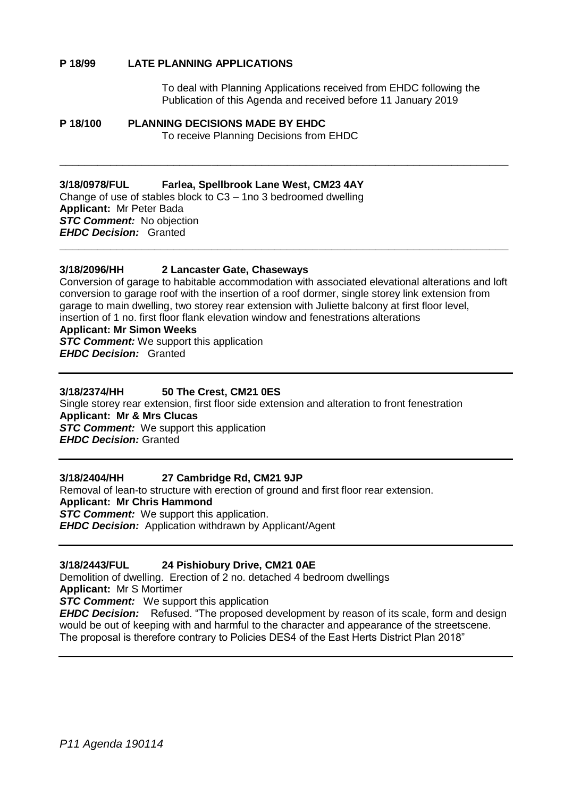#### **P 18/99 LATE PLANNING APPLICATIONS**

To deal with Planning Applications received from EHDC following the Publication of this Agenda and received before 11 January 2019

#### **P 18/100 PLANNING DECISIONS MADE BY EHDC** To receive Planning Decisions from EHDC

#### **3/18/0978/FUL Farlea, Spellbrook Lane West, CM23 4AY**

Change of use of stables block to C3 – 1no 3 bedroomed dwelling **Applicant:** Mr Peter Bada *STC Comment:* No objection *EHDC Decision:* Granted **\_\_\_\_\_\_\_\_\_\_\_\_\_\_\_\_\_\_\_\_\_\_\_\_\_\_\_\_\_\_\_\_\_\_\_\_\_\_\_\_\_\_\_\_\_\_\_\_\_\_\_\_\_\_\_\_\_\_\_\_\_\_\_\_\_\_\_\_\_\_\_**

#### **3/18/2096/HH 2 Lancaster Gate, Chaseways**

Conversion of garage to habitable accommodation with associated elevational alterations and loft conversion to garage roof with the insertion of a roof dormer, single storey link extension from garage to main dwelling, two storey rear extension with Juliette balcony at first floor level, insertion of 1 no. first floor flank elevation window and fenestrations alterations

**\_\_\_\_\_\_\_\_\_\_\_\_\_\_\_\_\_\_\_\_\_\_\_\_\_\_\_\_\_\_\_\_\_\_\_\_\_\_\_\_\_\_\_\_\_\_\_\_\_\_\_\_\_\_\_\_\_\_\_\_\_\_\_\_\_\_\_\_\_\_\_**

#### **Applicant: Mr Simon Weeks**

**STC Comment:** We support this application

*EHDC Decision:* Granted

#### **3/18/2374/HH 50 The Crest, CM21 0ES**

Single storey rear extension, first floor side extension and alteration to front fenestration **Applicant: Mr & Mrs Clucas STC Comment:** We support this application *EHDC Decision:* Granted

#### **3/18/2404/HH 27 Cambridge Rd, CM21 9JP**

Removal of lean-to structure with erection of ground and first floor rear extension. **Applicant: Mr Chris Hammond** *STC Comment:* We support this application. *EHDC Decision:* Application withdrawn by Applicant/Agent

#### **3/18/2443/FUL 24 Pishiobury Drive, CM21 0AE**

Demolition of dwelling. Erection of 2 no. detached 4 bedroom dwellings **Applicant:** Mr S Mortimer **STC Comment:** We support this application *EHDC Decision:* Refused. "The proposed development by reason of its scale, form and design would be out of keeping with and harmful to the character and appearance of the streetscene. The proposal is therefore contrary to Policies DES4 of the East Herts District Plan 2018"